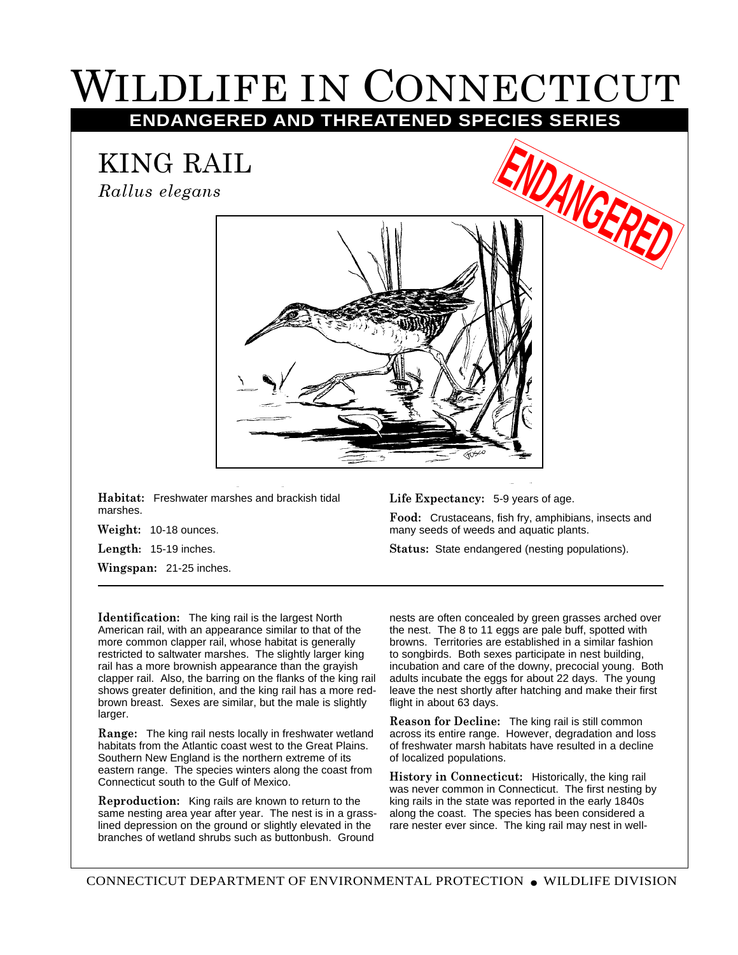## WILDLIFE IN CONNECTICUT

**ENDANGERED AND THREATENED SPECIES SERIES**

KING RAIL

*Rallus elegans*



**Habitat:** Freshwater marshes and brackish tidal marshes.

**Weight:** 10-18 ounces.

**Length:** 15-19 inches.

**Wingspan:** 21-25 inches.

**Life Expectancy:** 5-9 years of age.

**Food:** Crustaceans, fish fry, amphibians, insects and many seeds of weeds and aquatic plants.

**Status:** State endangered (nesting populations).

**Identification:** The king rail is the largest North American rail, with an appearance similar to that of the more common clapper rail, whose habitat is generally restricted to saltwater marshes. The slightly larger king rail has a more brownish appearance than the grayish clapper rail. Also, the barring on the flanks of the king rail shows greater definition, and the king rail has a more redbrown breast. Sexes are similar, but the male is slightly larger.

**Range:** The king rail nests locally in freshwater wetland habitats from the Atlantic coast west to the Great Plains. Southern New England is the northern extreme of its eastern range. The species winters along the coast from Connecticut south to the Gulf of Mexico.

**Reproduction:** King rails are known to return to the same nesting area year after year. The nest is in a grasslined depression on the ground or slightly elevated in the branches of wetland shrubs such as buttonbush. Ground

nests are often concealed by green grasses arched over the nest. The 8 to 11 eggs are pale buff, spotted with browns. Territories are established in a similar fashion to songbirds. Both sexes participate in nest building, incubation and care of the downy, precocial young. Both adults incubate the eggs for about 22 days. The young leave the nest shortly after hatching and make their first flight in about 63 days.

**Reason for Decline:** The king rail is still common across its entire range. However, degradation and loss of freshwater marsh habitats have resulted in a decline of localized populations.

**History in Connecticut:** Historically, the king rail was never common in Connecticut. The first nesting by king rails in the state was reported in the early 1840s along the coast. The species has been considered a rare nester ever since. The king rail may nest in well